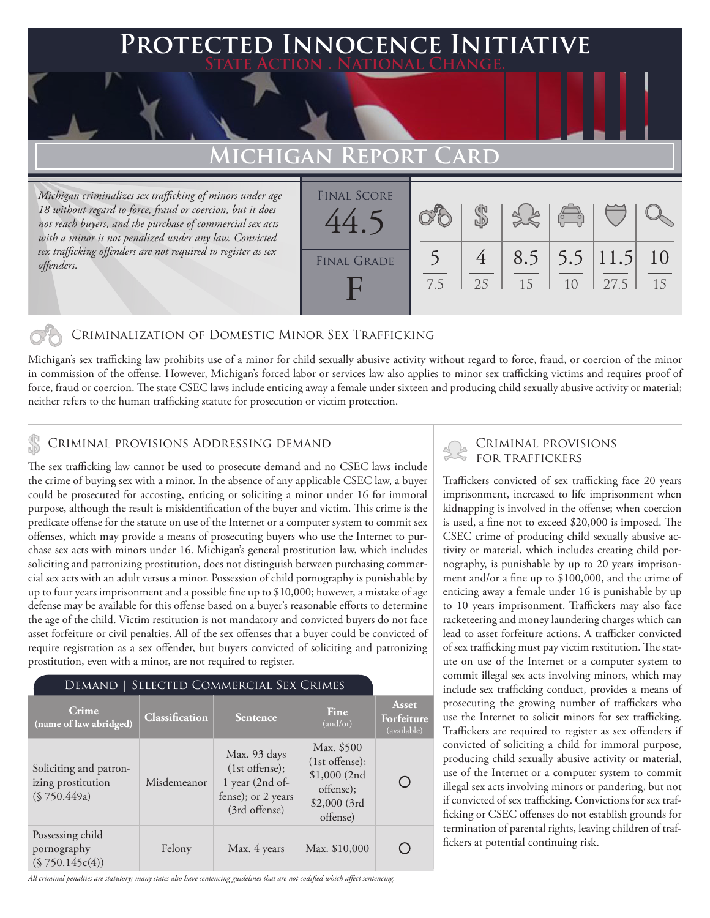## **PTED INNOCENCE INITIATIVE State Action . National Change.**

# **MICHIGAN REPORT**

*Michigan criminalizes sex trafficking of minors under age 18 without regard to force, fraud or coercion, but it does not reach buyers, and the purchase of commercial sex acts with a minor is not penalized under any law. Convicted sex trafficking offenders are not required to register as sex offenders.*

| <b>FINAL SCORE</b><br>44.5 |     |    |    | $\begin{pmatrix} 0 & 0 \\ 0 & 0 \end{pmatrix}$ |      |          |
|----------------------------|-----|----|----|------------------------------------------------|------|----------|
| <b>FINAL GRADE</b>         | 7.5 | 25 | 15 | $8.5$   5.5   11.5 <br>1 <sub>0</sub>          | 27.5 | 10<br>15 |

### Criminalization of Domestic Minor Sex Trafficking

Michigan's sex trafficking law prohibits use of a minor for child sexually abusive activity without regard to force, fraud, or coercion of the minor in commission of the offense. However, Michigan's forced labor or services law also applies to minor sex trafficking victims and requires proof of force, fraud or coercion. The state CSEC laws include enticing away a female under sixteen and producing child sexually abusive activity or material; neither refers to the human trafficking statute for prosecution or victim protection.

# CRIMINAL PROVISIONS ADDRESSING DEMAND<br>
TOR TRAFFICKERS

The sex trafficking law cannot be used to prosecute demand and no CSEC laws include the crime of buying sex with a minor. In the absence of any applicable CSEC law, a buyer could be prosecuted for accosting, enticing or soliciting a minor under 16 for immoral purpose, although the result is misidentification of the buyer and victim. This crime is the predicate offense for the statute on use of the Internet or a computer system to commit sex offenses, which may provide a means of prosecuting buyers who use the Internet to purchase sex acts with minors under 16. Michigan's general prostitution law, which includes soliciting and patronizing prostitution, does not distinguish between purchasing commercial sex acts with an adult versus a minor. Possession of child pornography is punishable by up to four years imprisonment and a possible fine up to \$10,000; however, a mistake of age defense may be available for this offense based on a buyer's reasonable efforts to determine the age of the child. Victim restitution is not mandatory and convicted buyers do not face asset forfeiture or civil penalties. All of the sex offenses that a buyer could be convicted of require registration as a sex offender, but buyers convicted of soliciting and patronizing prostitution, even with a minor, are not required to register.

#### Demand | Selected Commercial Sex Crimes

| Crime<br>(name of law abridged)                              | Classification | <b>Sentence</b>                                                                          | Fine<br>(and/or)                                                                          | Asset<br>Forfeiture<br>(available) |
|--------------------------------------------------------------|----------------|------------------------------------------------------------------------------------------|-------------------------------------------------------------------------------------------|------------------------------------|
| Soliciting and patron-<br>izing prostitution<br>(S 750.449a) | Misdemeanor    | Max. 93 days<br>(1st offense);<br>1 year (2nd of-<br>fense); or 2 years<br>(3rd offense) | Max. \$500<br>$(1st$ offense);<br>$$1,000$ (2nd<br>offense);<br>$$2,000$ (3rd<br>offense) |                                    |
| Possessing child<br>pornography<br>(S 750.145c(4))           | Felony         | Max. 4 years                                                                             | Max. \$10,000                                                                             |                                    |

*All criminal penalties are statutory; many states also have sentencing guidelines that are not codified which affect sentencing.* 

Traffickers convicted of sex trafficking face 20 years imprisonment, increased to life imprisonment when kidnapping is involved in the offense; when coercion is used, a fine not to exceed \$20,000 is imposed. The CSEC crime of producing child sexually abusive activity or material, which includes creating child pornography, is punishable by up to 20 years imprisonment and/or a fine up to \$100,000, and the crime of enticing away a female under 16 is punishable by up to 10 years imprisonment. Traffickers may also face racketeering and money laundering charges which can lead to asset forfeiture actions. A trafficker convicted of sex trafficking must pay victim restitution. The statute on use of the Internet or a computer system to commit illegal sex acts involving minors, which may include sex trafficking conduct, provides a means of prosecuting the growing number of traffickers who use the Internet to solicit minors for sex trafficking. Traffickers are required to register as sex offenders if convicted of soliciting a child for immoral purpose, producing child sexually abusive activity or material, use of the Internet or a computer system to commit illegal sex acts involving minors or pandering, but not if convicted of sex trafficking. Convictions for sex trafficking or CSEC offenses do not establish grounds for termination of parental rights, leaving children of traffickers at potential continuing risk.